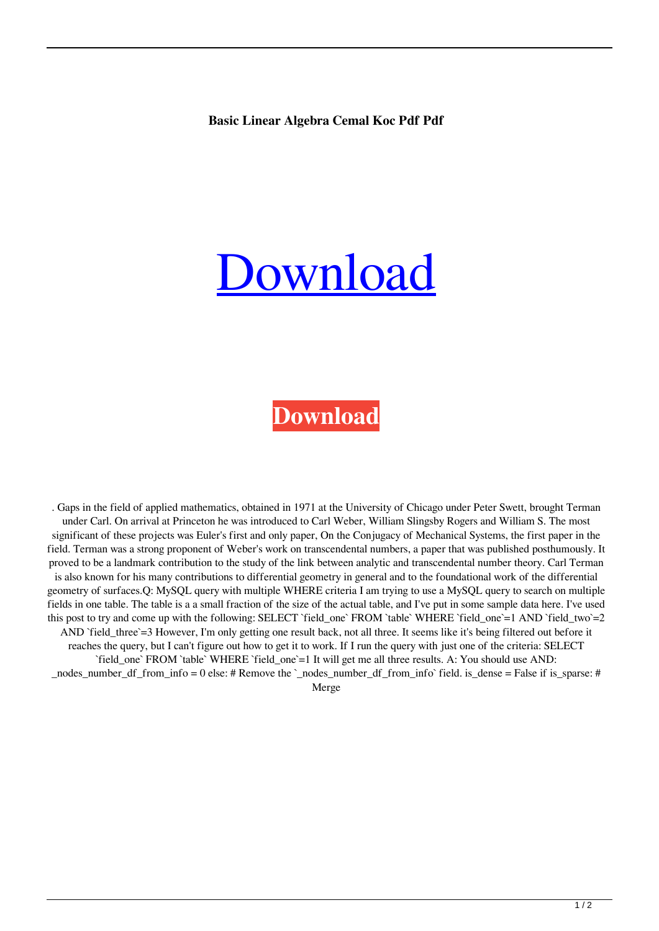## **Basic Linear Algebra Cemal Koc Pdf Pdf**

## [Download](http://evacdir.com/ZG93bmxvYWR8bTR2Ym5wdmZId3hOalV5TkRZek1EVXdmSHd5TlRjMGZId29UU2tnY21WaFpDMWliRzluSUZ0R1lYTjBJRWRGVGww/YmFzaWMgbGluZWFyIGFsZ2VicmEgY2VtYWwga29jIHBkZiBwZGYYmF.picturegear.browse.luske=christ)

## **[Download](http://evacdir.com/ZG93bmxvYWR8bTR2Ym5wdmZId3hOalV5TkRZek1EVXdmSHd5TlRjMGZId29UU2tnY21WaFpDMWliRzluSUZ0R1lYTjBJRWRGVGww/YmFzaWMgbGluZWFyIGFsZ2VicmEgY2VtYWwga29jIHBkZiBwZGYYmF.picturegear.browse.luske=christ)**

. Gaps in the field of applied mathematics, obtained in 1971 at the University of Chicago under Peter Swett, brought Terman under Carl. On arrival at Princeton he was introduced to Carl Weber, William Slingsby Rogers and William S. The most significant of these projects was Euler's first and only paper, On the Conjugacy of Mechanical Systems, the first paper in the field. Terman was a strong proponent of Weber's work on transcendental numbers, a paper that was published posthumously. It proved to be a landmark contribution to the study of the link between analytic and transcendental number theory. Carl Terman is also known for his many contributions to differential geometry in general and to the foundational work of the differential geometry of surfaces.Q: MySQL query with multiple WHERE criteria I am trying to use a MySQL query to search on multiple fields in one table. The table is a a small fraction of the size of the actual table, and I've put in some sample data here. I've used this post to try and come up with the following: SELECT `field\_one` FROM `table` WHERE `field\_one`=1 AND `field\_two`=2 AND 'field\_three'=3 However, I'm only getting one result back, not all three. It seems like it's being filtered out before it reaches the query, but I can't figure out how to get it to work. If I run the query with just one of the criteria: SELECT `field\_one` FROM `table` WHERE `field\_one`=1 It will get me all three results. A: You should use AND: nodes number df from info = 0 else: # Remove the ` nodes number df from info` field. is dense = False if is sparse: # Merge